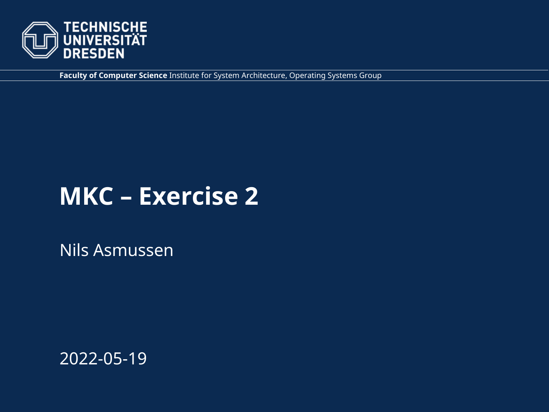

**Faculty of Computer Science** Institute for System Architecture, Operating Systems Group

## **MKC – Exercise 2**

Nils Asmussen

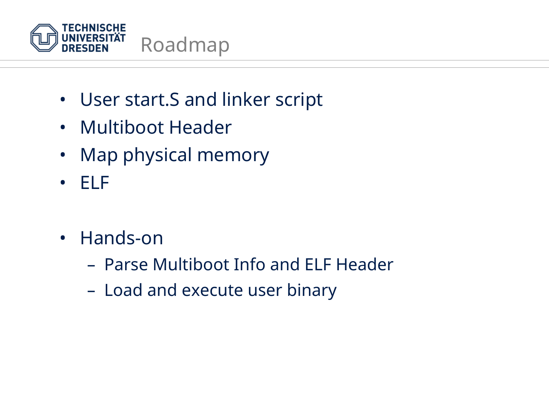

- User start.S and linker script
- Multiboot Header
- Map physical memory
- ELF
- Hands-on
	- Parse Multiboot Info and ELF Header
	- Load and execute user binary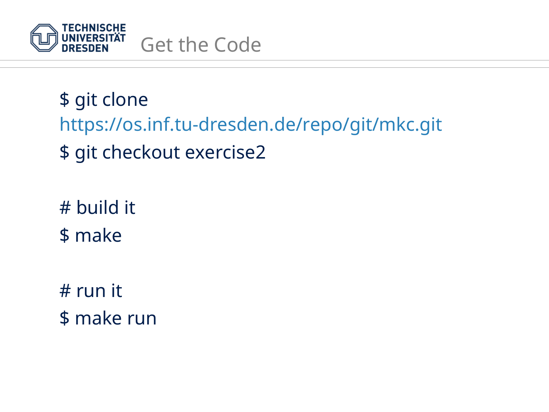

\$ git clone <https://os.inf.tu-dresden.de/repo/git/mkc.git> \$ git checkout exercise2

# build it \$ make

# run it \$ make run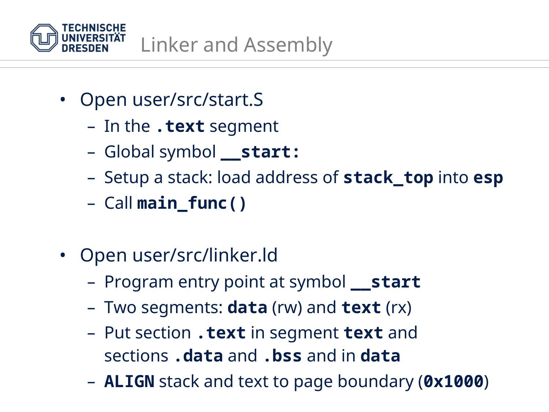

- Open user/src/start.S
	- In the **.text** segment
	- Global symbol **\_\_start:**
	- Setup a stack: load address of **stack\_top** into **esp**
	- Call **main\_func()**
- Open user/src/linker.ld
	- Program entry point at symbol **\_\_start**
	- Two segments: **data** (rw) and **text** (rx)
	- Put section **.text** in segment **text** and sections **.data** and **.bss** and in **data**
	- **ALIGN** stack and text to page boundary (**0x1000**)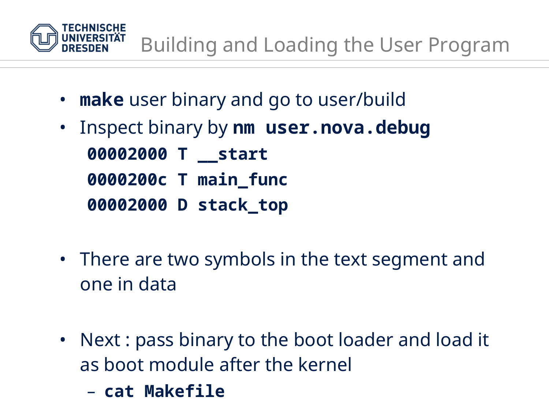

- **make** user binary and go to user/build
- Inspect binary by **nm user.nova.debug 00002000 T \_\_start 0000200c T main\_func 00002000 D stack\_top**
- There are two symbols in the text segment and one in data
- Next : pass binary to the boot loader and load it as boot module after the kernel
	- **cat Makefile**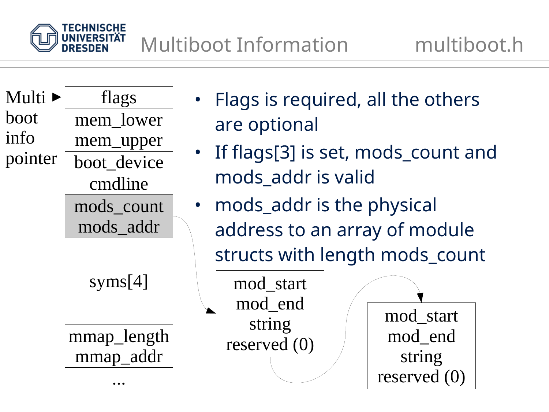

mod\_start

mod\_end

string

reserved (0)

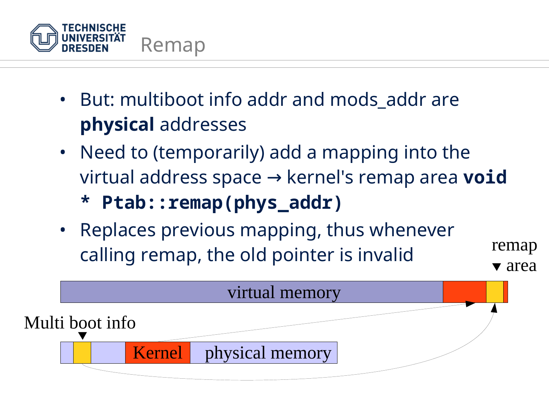

- But: multiboot info addr and mods\_addr are **physical** addresses
- Need to (temporarily) add a mapping into the virtual address space → kernel's remap area void
	- **\* Ptab::remap(phys\_addr)**
- Replaces previous mapping, thus whenever calling remap, the old pointer is invalid

remap

▼ area

physical memory virtual memory Kernel Multi boot info ▼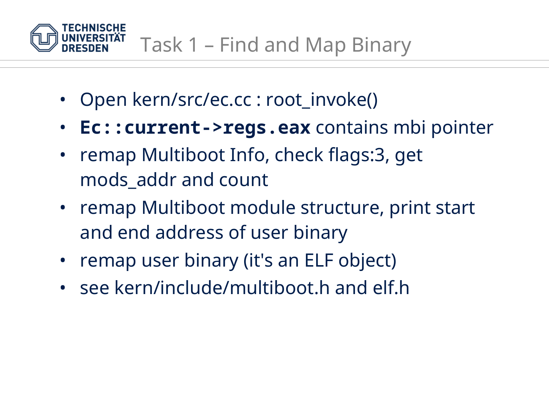

- Open kern/src/ec.cc : root\_invoke()
- **Ec::current->regs.eax** contains mbi pointer
- remap Multiboot Info, check flags:3, get mods\_addr and count
- remap Multiboot module structure, print start and end address of user binary
- remap user binary (it's an ELF object)
- see kern/include/multiboot.h and elf.h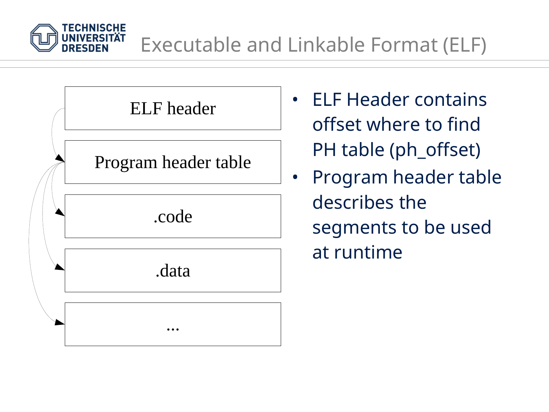



- ELF Header contains offset where to find PH table (ph\_offset)
- Program header table describes the segments to be used at runtime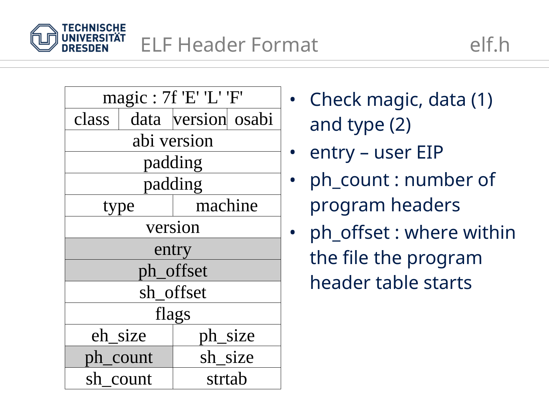

| magic: 7f 'E' 'L' 'F' |  |                    |  |
|-----------------------|--|--------------------|--|
| class                 |  | data version osabi |  |
| abi version           |  |                    |  |
| padding               |  |                    |  |
| padding               |  |                    |  |
| type                  |  | machine            |  |
| version               |  |                    |  |
| entry                 |  |                    |  |
| ph_offset             |  |                    |  |
| sh_offset             |  |                    |  |
| flags                 |  |                    |  |
| eh_size               |  | ph_size            |  |
| ph_count              |  | sh size            |  |
| sh count              |  | strtab             |  |

- Check magic, data (1) and type (2)
- entry user EIP
- ph\_count : number of program headers
- ph\_offset : where within the file the program header table starts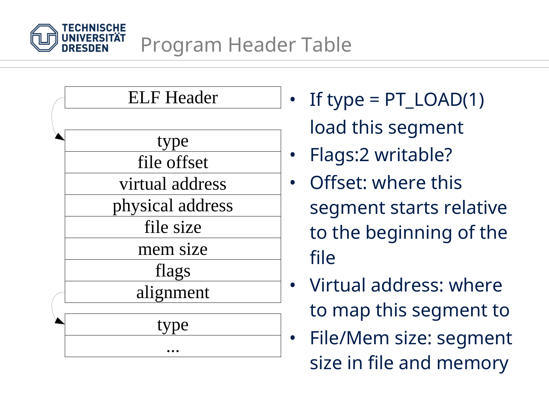



- If type =  $PT\_LOAD(1)$ load this segment
- Flags:2 writable?
- Offset: where this segment starts relative to the beginning of the file
- Virtual address: where to map this segment to
- File/Mem size: segment size in file and memory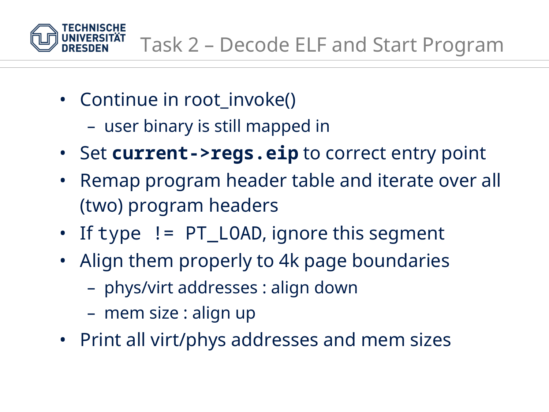

- Continue in root invoke()
	- user binary is still mapped in
- Set **current->regs.eip** to correct entry point
- Remap program header table and iterate over all (two) program headers
- If type != PT\_LOAD, ignore this segment
- Align them properly to 4k page boundaries
	- phys/virt addresses : align down
	- mem size : align up
- Print all virt/phys addresses and mem sizes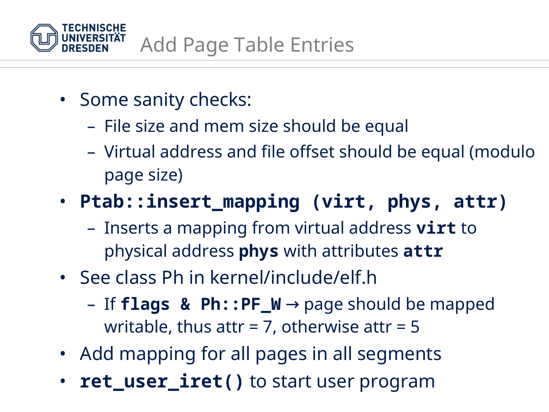

- Some sanity checks:
	- File size and mem size should be equal
	- Virtual address and file offset should be equal (modulo page size)

## • **Ptab::insert\_mapping (virt, phys, attr)**

- Inserts a mapping from virtual address **virt** to physical address **phys** with attributes **attr**
- See class Ph in kernel/include/elf.h
	- $-$  If **flags & Ph::PF\_W**  $\rightarrow$  page should be mapped writable, thus attr = 7, otherwise attr =  $5$
- Add mapping for all pages in all segments
- **ret\_user\_iret()** to start user program